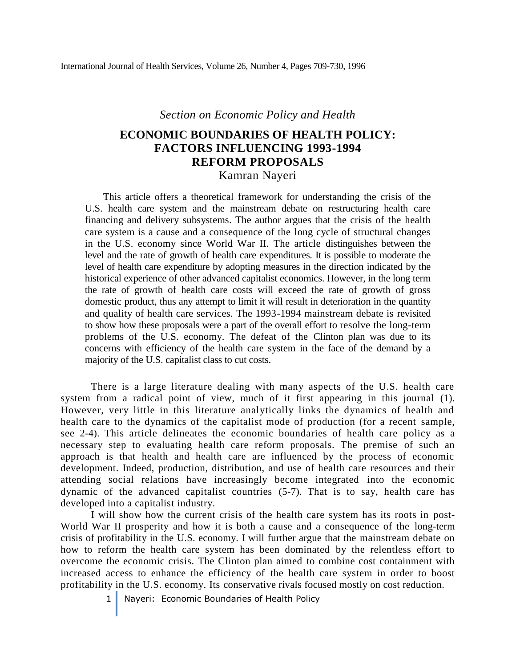*Section on Economic Policy and Health*

# **ECONOMIC BOUNDARIES OF HEALTH POLICY: FACTORS INFLUENCING 1993-1994 REFORM PROPOSALS** Kamran Nayeri

This article offers a theoretical framework for understanding the crisis of the U.S. health care system and the mainstream debate on restructuring health care financing and delivery subsystems. The author argues that the crisis of the health care system is a cause and a consequence of the long cycle of structural changes in the U.S. economy since World War II. The article distinguishes between the level and the rate of growth of health care expenditures. It is possible to moderate the level of health care expenditure by adopting measures in the direction indicated by the historical experience of other advanced capitalist economics. However, in the long term the rate of growth of health care costs will exceed the rate of growth of gross domestic product, thus any attempt to limit it will result in deterioration in the quantity and quality of health care services. The 1993-1994 mainstream debate is revisited to show how these proposals were a part of the overall effort to resolve the long-term problems of the U.S. economy. The defeat of the Clinton plan was due to its concerns with efficiency of the health care system in the face of the demand by a majority of the U.S. capitalist class to cut costs.

There is a large literature dealing with many aspects of the U.S. health care system from a radical point of view, much of it first appearing in this journal (1). However, very little in this literature analytically links the dynamics of health and health care to the dynamics of the capitalist mode of production (for a recent sample, see 2-4). This article delineates the economic boundaries of health care policy as a necessary step to evaluating health care reform proposals. The premise of such an approach is that health and health care are influenced by the process of economic development. Indeed, production, distribution, and use of health care resources and their attending social relations have increasingly become integrated into the economic dynamic of the advanced capitalist countries (5-7). That is to say, health care has developed into a capitalist industry.

I will show how the current crisis of the health care system has its roots in post-World War II prosperity and how it is both a cause and a consequence of the long-term crisis of profitability in the U.S. economy. I will further argue that the mainstream debate on how to reform the health care system has been dominated by the relentless effort to overcome the economic crisis. The Clinton plan aimed to combine cost containment with increased access to enhance the efficiency of the health care system in order to boost profitability in the U.S. economy. Its conservative rivals focused mostly on cost reduction.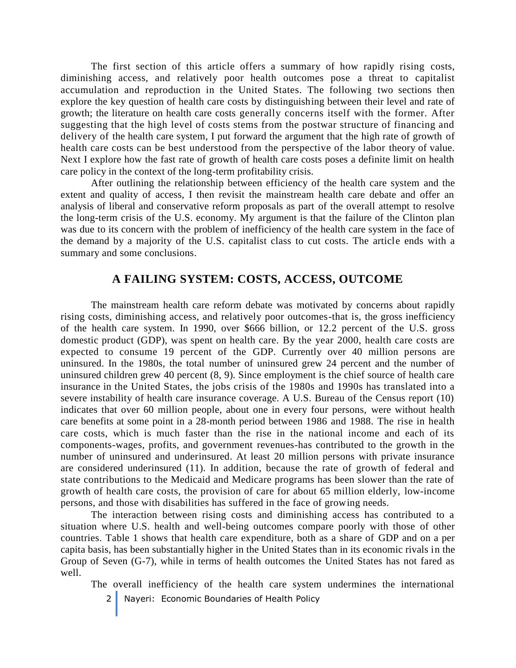The first section of this article offers a summary of how rapidly rising costs, diminishing access, and relatively poor health outcomes pose a threat to capitalist accumulation and reproduction in the United States. The following two sections then explore the key question of health care costs by distinguishing between their level and rate of growth; the literature on health care costs generally concerns itself with the former. After suggesting that the high level of costs stems from the postwar structure of financing and delivery of the health care system, I put forward the argument that the high rate of growth of health care costs can be best understood from the perspective of the labor theory of value. Next I explore how the fast rate of growth of health care costs poses a definite limit on health care policy in the context of the long-term profitability crisis.

After outlining the relationship between efficiency of the health care system and the extent and quality of access, I then revisit the mainstream health care debate and offer an analysis of liberal and conservative reform proposals as part of the overall attempt to resolve the long-term crisis of the U.S. economy. My argument is that the failure of the Clinton plan was due to its concern with the problem of inefficiency of the health care system in the face of the demand by a majority of the U.S. capitalist class to cut costs. The article ends with a summary and some conclusions.

### **A FAILING SYSTEM: COSTS, ACCESS, OUTCOME**

The mainstream health care reform debate was motivated by concerns about rapidly rising costs, diminishing access, and relatively poor outcomes-that is, the gross inefficiency of the health care system. In 1990, over \$666 billion, or 12.2 percent of the U.S. gross domestic product (GDP), was spent on health care. By the year 2000, health care costs are expected to consume 19 percent of the GDP. Currently over 40 million persons are uninsured. In the 1980s, the total number of uninsured grew 24 percent and the number of uninsured children grew 40 percent (8, 9). Since employment is the chief source of health care insurance in the United States, the jobs crisis of the 1980s and 1990s has translated into a severe instability of health care insurance coverage. A U.S. Bureau of the Census report (10) indicates that over 60 million people, about one in every four persons, were without health care benefits at some point in a 28-month period between 1986 and 1988. The rise in health care costs, which is much faster than the rise in the national income and each of its components-wages, profits, and government revenues-has contributed to the growth in the number of uninsured and underinsured. At least 20 million persons with private insurance are considered underinsured (11). In addition, because the rate of growth of federal and state contributions to the Medicaid and Medicare programs has been slower than the rate of growth of health care costs, the provision of care for about 65 million elderly, low-income persons, and those with disabilities has suffered in the face of growing needs.

The interaction between rising costs and diminishing access has contributed to a situation where U.S. health and well-being outcomes compare poorly with those of other countries. Table 1 shows that health care expenditure, both as a share of GDP and on a per capita basis, has been substantially higher in the United States than in its economic rivals in the Group of Seven (G-7), while in terms of health outcomes the United States has not fared as well.

The overall inefficiency of the health care system undermines the international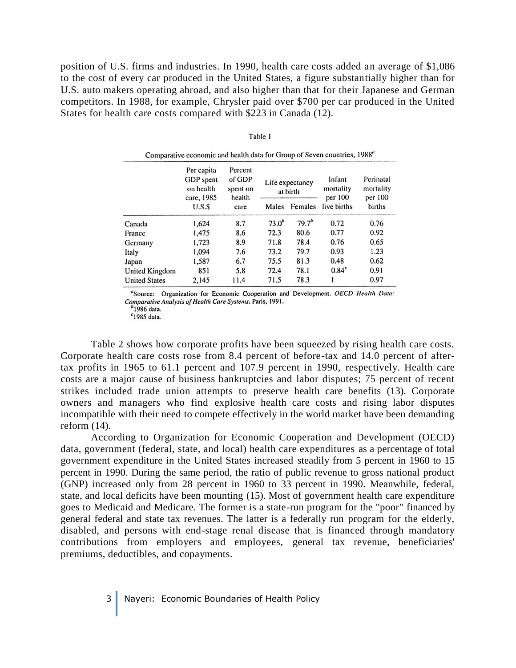position of U.S. firms and industries. In 1990, health care costs added an average of \$1,086 to the cost of every car produced in the United States, a figure substantially higher than for U.S. auto makers operating abroad, and also higher than that for their Japanese and German competitors. In 1988, for example, Chrysler paid over \$700 per car produced in the United States for health care costs compared with \$223 in Canada (12).

| Comparative economic and health data for Group of Seven countries, 1988" |                                                           |                                         |                             |            |                                |                                   |
|--------------------------------------------------------------------------|-----------------------------------------------------------|-----------------------------------------|-----------------------------|------------|--------------------------------|-----------------------------------|
|                                                                          | Per capita<br><b>GDP</b> spent<br>on health<br>care, 1985 | Percent<br>of GDP<br>spent on<br>health | Life expectancy<br>at birth |            | Infant<br>mortality<br>per 100 | Perinatal<br>mortality<br>per 100 |
|                                                                          | U.S.S                                                     | care                                    | Males                       | Females    | live births                    | births                            |
| Canada                                                                   | 1,624                                                     | 8.7                                     | 73.0 <sup>b</sup>           | $79.7^{b}$ | 0.72                           | 0.76                              |
| France                                                                   | 1,475                                                     | 8.6                                     | 72.3                        | 80.6       | 0.77                           | 0.92                              |
| Germany                                                                  | 1,723                                                     | 8.9                                     | 71.8                        | 78.4       | 0.76                           | 0.65                              |
| Italy                                                                    | 1,094                                                     | 7.6                                     | 73.2                        | 79.7       | 0.93                           | 1.23                              |
| Japan                                                                    | 1,587                                                     | 6.7                                     | 75.5                        | 81.3       | 0.48                           | 0.62                              |
| United Kingdom                                                           | 851                                                       | 5.8                                     | 72.4                        | 78.1       | 0.84 <sup>c</sup>              | 0.91                              |
| <b>United States</b>                                                     | 2,145                                                     | 11.4                                    | 71.5                        | 78.3       |                                | 0.97                              |

| Table 1 |  |
|---------|--|
|         |  |
|         |  |

<sup>a</sup>Source: Organization for Economic Cooperation and Development. OECD Health Data: Comparative Analysis of Health Care Systems. Paris, 1991.

<sup>2</sup>1986 data.

 $c$ 1985 data.

Table 2 shows how corporate profits have been squeezed by rising health care costs. Corporate health care costs rose from 8.4 percent of before-tax and 14.0 percent of aftertax profits in 1965 to 61.1 percent and 107.9 percent in 1990, respectively. Health care costs are a major cause of business bankruptcies and labor disputes; 75 percent of recent strikes included trade union attempts to preserve health care benefits (13). Corporate owners and managers who find explosive health care costs and rising labor disputes incompatible with their need to compete effectively in the world market have been demanding reform (14).

According to Organization for Economic Cooperation and Development (OECD) data, government (federal, state, and local) health care expenditures as a percentage of total government expenditure in the United States increased steadily from 5 percent in 1960 to 15 percent in 1990. During the same period, the ratio of public revenue to gross national product (GNP) increased only from 28 percent in 1960 to 33 percent in 1990. Meanwhile, federal, state, and local deficits have been mounting (15). Most of government health care expenditure goes to Medicaid and Medicare. The former is a state-run program for the "poor" financed by general federal and state tax revenues. The latter is a federally run program for the elderly, disabled, and persons with end-stage renal disease that is financed through mandatory contributions from employers and employees, general tax revenue, beneficiaries' premiums, deductibles, and copayments.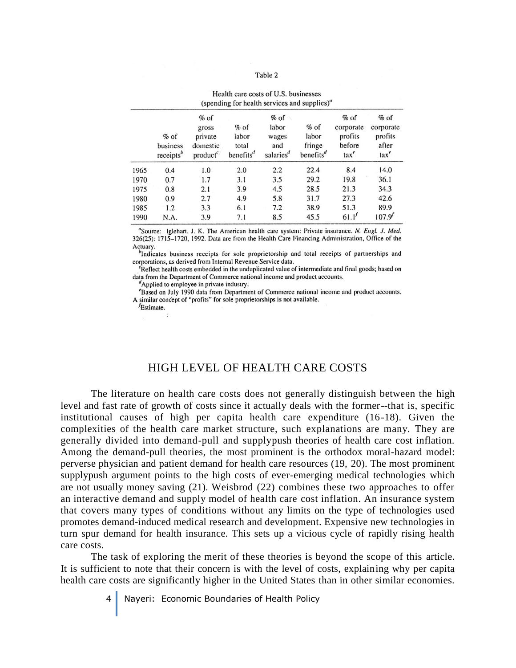#### Table 2

| (spending for health services and supplies)" |                                             |                                                       |                                                                |                                                          |                                                    |                                                                   |                                                      |
|----------------------------------------------|---------------------------------------------|-------------------------------------------------------|----------------------------------------------------------------|----------------------------------------------------------|----------------------------------------------------|-------------------------------------------------------------------|------------------------------------------------------|
|                                              | $%$ of<br>business<br>receipts <sup>b</sup> | $%$ of<br>gross<br>private<br>domestic<br>$product^c$ | $%$ of<br>labor<br>total<br>benefits <sup><math>d</math></sup> | $%$ of<br>labor<br>wages<br>and<br>salaries <sup>d</sup> | $%$ of<br>labor<br>fringe<br>benefits <sup>a</sup> | $%$ of<br>corporate<br>profits<br>before<br>$\text{tax}^{\prime}$ | $%$ of<br>corporate<br>profits<br>after<br>$\arctan$ |
| 1965                                         | 0.4                                         | 1.0                                                   | 2.0                                                            | 2.2                                                      | 22.4                                               | 8.4                                                               | 14.0                                                 |
| 1970                                         | 0.7                                         | 1.7                                                   | 3.1                                                            | 3.5                                                      | 29.2                                               | 19.8                                                              | 36.1                                                 |
| 1975                                         | 0.8                                         | 2.1                                                   | 3.9                                                            | 4.5                                                      | 28.5                                               | 21.3                                                              | 34.3                                                 |
| 1980                                         | 0.9                                         | 2.7                                                   | 4.9                                                            | 5.8                                                      | 31.7                                               | 27.3                                                              | 42.6                                                 |
| 1985                                         | 1.2                                         | 3.3                                                   | 6.1                                                            | 7.2                                                      | 38.9                                               | 51.3                                                              | 89.9                                                 |
| 1990                                         | N.A.                                        | 3.9                                                   | 7.1                                                            | 8.5                                                      | 45.5                                               | 61.1'                                                             | 107.9'                                               |

Health care costs of U.S. businesses

"Source: Iglehart, J. K. The American health care system: Private insurance. N. Engl. J. Med. 326(25): 1715–1720, 1992. Data are from the Health Care Financing Administration, Office of the Actuary.

<sup>b</sup>Indicates business receipts for sole proprietorship and total receipts of partnerships and corporations, as derived from Internal Revenue Service data.

<sup>c</sup>Reflect health costs embedded in the unduplicated value of intermediate and final goods; based on data from the Department of Commerce national income and product accounts.

Applied to employee in private industry.

<sup>e</sup>Based on July 1990 data from Department of Commerce national income and product accounts. A similar concept of "profits" for sole proprietorships is not available.

*f*Estimate.

### HIGH LEVEL OF HEALTH CARE COSTS

The literature on health care costs does not generally distinguish between the high level and fast rate of growth of costs since it actually deals with the former--that is, specific institutional causes of high per capita health care expenditure (16-18). Given the complexities of the health care market structure, such explanations are many. They are generally divided into demand-pull and supplypush theories of health care cost inflation. Among the demand-pull theories, the most prominent is the orthodox moral-hazard model: perverse physician and patient demand for health care resources (19, 20). The most prominent supplypush argument points to the high costs of ever-emerging medical technologies which are not usually money saving (21). Weisbrod (22) combines these two approaches to offer an interactive demand and supply model of health care cost inflation. An insurance system that covers many types of conditions without any limits on the type of technologies used promotes demand-induced medical research and development. Expensive new technologies in turn spur demand for health insurance. This sets up a vicious cycle of rapidly rising health care costs.

The task of exploring the merit of these theories is beyond the scope of this article. It is sufficient to note that their concern is with the level of costs, explaining why per capita health care costs are significantly higher in the United States than in other similar economies.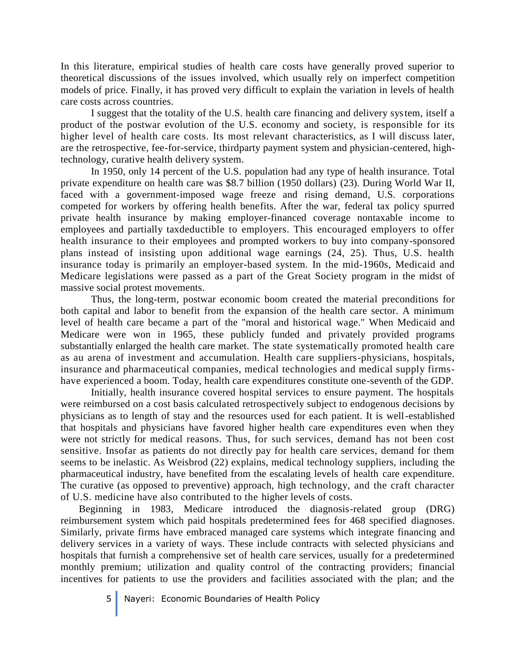In this literature, empirical studies of health care costs have generally proved superior to theoretical discussions of the issues involved, which usually rely on imperfect competition models of price. Finally, it has proved very difficult to explain the variation in levels of health care costs across countries.

I suggest that the totality of the U.S. health care financing and delivery system, itself a product of the postwar evolution of the U.S. economy and society, is responsible for its higher level of health care costs. Its most relevant characteristics, as I will discuss later, are the retrospective, fee-for-service, thirdparty payment system and physician-centered, hightechnology, curative health delivery system.

In 1950, only 14 percent of the U.S. population had any type of health insurance. Total private expenditure on health care was \$8.7 billion (1950 dollars) (23). During World War II, faced with a government-imposed wage freeze and rising demand, U.S. corporations competed for workers by offering health benefits. After the war, federal tax policy spurred private health insurance by making employer-financed coverage nontaxable income to employees and partially taxdeductible to employers. This encouraged employers to offer health insurance to their employees and prompted workers to buy into company-sponsored plans instead of insisting upon additional wage earnings (24, 25). Thus, U.S. health insurance today is primarily an employer-based system. In the mid-1960s, Medicaid and Medicare legislations were passed as a part of the Great Society program in the midst of massive social protest movements.

Thus, the long-term, postwar economic boom created the material preconditions for both capital and labor to benefit from the expansion of the health care sector. A minimum level of health care became a part of the "moral and historical wage." When Medicaid and Medicare were won in 1965, these publicly funded and privately provided programs substantially enlarged the health care market. The state systematically promoted health care as au arena of investment and accumulation. Health care suppliers-physicians, hospitals, insurance and pharmaceutical companies, medical technologies and medical supply firmshave experienced a boom. Today, health care expenditures constitute one-seventh of the GDP.

Initially, health insurance covered hospital services to ensure payment. The hospitals were reimbursed on a cost basis calculated retrospectively subject to endogenous decisions by physicians as to length of stay and the resources used for each patient. It is well-established that hospitals and physicians have favored higher health care expenditures even when they were not strictly for medical reasons. Thus, for such services, demand has not been cost sensitive. Insofar as patients do not directly pay for health care services, demand for them seems to be inelastic. As Weisbrod (22) explains, medical technology suppliers, including the pharmaceutical industry, have benefited from the escalating levels of health care expenditure. The curative (as opposed to preventive) approach, high technology, and the craft character of U.S. medicine have also contributed to the higher levels of costs.

Beginning in 1983, Medicare introduced the diagnosis-related group (DRG) reimbursement system which paid hospitals predetermined fees for 468 specified diagnoses. Similarly, private firms have embraced managed care systems which integrate financing and delivery services in a variety of ways. These include contracts with selected physicians and hospitals that furnish a comprehensive set of health care services, usually for a predetermined monthly premium; utilization and quality control of the contracting providers; financial incentives for patients to use the providers and facilities associated with the plan; and the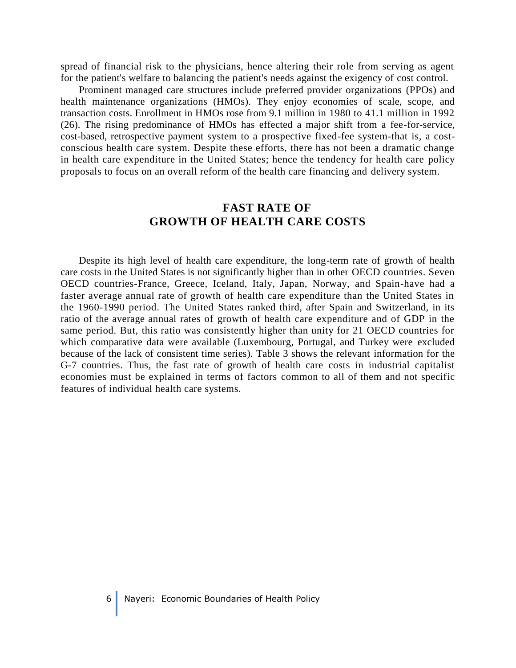spread of financial risk to the physicians, hence altering their role from serving as agent for the patient's welfare to balancing the patient's needs against the exigency of cost control.

Prominent managed care structures include preferred provider organizations (PPOs) and health maintenance organizations (HMOs). They enjoy economies of scale, scope, and transaction costs. Enrollment in HMOs rose from 9.1 million in 1980 to 41.1 million in 1992 (26). The rising predominance of HMOs has effected a major shift from a fee-for-service, cost-based, retrospective payment system to a prospective fixed-fee system-that is, a costconscious health care system. Despite these efforts, there has not been a dramatic change in health care expenditure in the United States; hence the tendency for health care policy proposals to focus on an overall reform of the health care financing and delivery system.

### **FAST RATE OF GROWTH OF HEALTH CARE COSTS**

Despite its high level of health care expenditure, the long-term rate of growth of health care costs in the United States is not significantly higher than in other OECD countries. Seven OECD countries-France, Greece, Iceland, Italy, Japan, Norway, and Spain-have had a faster average annual rate of growth of health care expenditure than the United States in the 1960-1990 period. The United States ranked third, after Spain and Switzerland, in its ratio of the average annual rates of growth of health care expenditure and of GDP in the same period. But, this ratio was consistently higher than unity for 21 OECD countries for which comparative data were available (Luxembourg, Portugal, and Turkey were excluded because of the lack of consistent time series). Table 3 shows the relevant information for the G-7 countries. Thus, the fast rate of growth of health care costs in industrial capitalist economies must be explained in terms of factors common to all of them and not specific features of individual health care systems.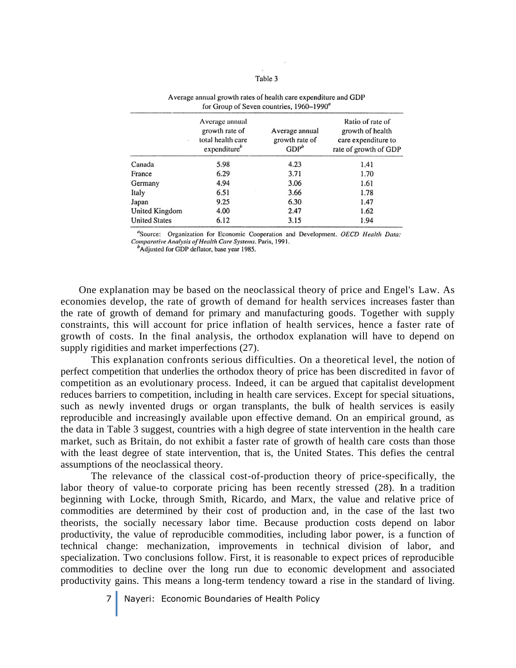#### Table 3

| $\lambda_{\rm R}$    | Average annual<br>growth rate of<br>total health care<br>expenditure" | Average annual<br>growth rate of<br>GDP <sup>b</sup> | Ratio of rate of<br>growth of health<br>care expenditure to<br>rate of growth of GDP |
|----------------------|-----------------------------------------------------------------------|------------------------------------------------------|--------------------------------------------------------------------------------------|
| Canada               | 5.98                                                                  | 4.23                                                 | 1.41                                                                                 |
| France               | 6.29                                                                  | 3.71                                                 | 1.70                                                                                 |
| Germany              | 4.94                                                                  | 3.06                                                 | 1.61                                                                                 |
| Italy                | 6.51                                                                  | 3.66                                                 | 1.78                                                                                 |
| Japan                | 9.25                                                                  | 6.30                                                 | 1.47                                                                                 |
| United Kingdom       | 4.00                                                                  | 2.47                                                 | 1.62                                                                                 |
| <b>United States</b> | 6.12                                                                  | 3.15                                                 | 1.94                                                                                 |

### Average annual growth rates of health care expenditure and GDP for Group of Seven countries, 1960-1990<sup>a</sup>

"Source: Organization for Economic Cooperation and Development. OECD Health Data: Comparative Analysis of Health Care Systems. Paris, 1991.

Adjusted for GDP deflator, base year 1985.

One explanation may be based on the neoclassical theory of price and Engel's Law. As economies develop, the rate of growth of demand for health services increases faster than the rate of growth of demand for primary and manufacturing goods. Together with supply constraints, this will account for price inflation of health services, hence a faster rate of growth of costs. In the final analysis, the orthodox explanation will have to depend on supply rigidities and market imperfections (27).

This explanation confronts serious difficulties. On a theoretical level, the notion of perfect competition that underlies the orthodox theory of price has been discredited in favor of competition as an evolutionary process. Indeed, it can be argued that capitalist development reduces barriers to competition, including in health care services. Except for special situations, such as newly invented drugs or organ transplants, the bulk of health services is easily reproducible and increasingly available upon effective demand. On an empirical ground, as the data in Table 3 suggest, countries with a high degree of state intervention in the health care market, such as Britain, do not exhibit a faster rate of growth of health care costs than those with the least degree of state intervention, that is, the United States. This defies the central assumptions of the neoclassical theory.

The relevance of the classical cost-of-production theory of price-specifically, the labor theory of value-to corporate pricing has been recently stressed (28). In a tradition beginning with Locke, through Smith, Ricardo, and Marx, the value and relative price of commodities are determined by their cost of production and, in the case of the last two theorists, the socially necessary labor time. Because production costs depend on labor productivity, the value of reproducible commodities, including labor power, is a function of technical change: mechanization, improvements in technical division of labor, and specialization. Two conclusions follow. First, it is reasonable to expect prices of reproducible commodities to decline over the long run due to economic development and associated productivity gains. This means a long-term tendency toward a rise in the standard of living.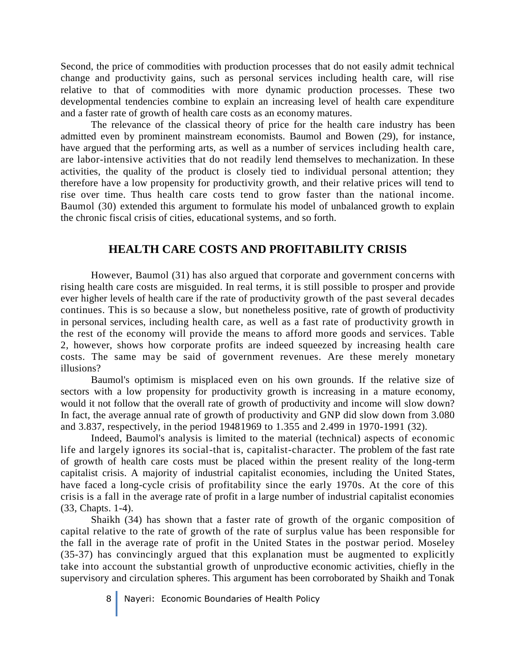Second, the price of commodities with production processes that do not easily admit technical change and productivity gains, such as personal services including health care, will rise relative to that of commodities with more dynamic production processes. These two developmental tendencies combine to explain an increasing level of health care expenditure and a faster rate of growth of health care costs as an economy matures.

The relevance of the classical theory of price for the health care industry has been admitted even by prominent mainstream economists. Baumol and Bowen (29), for instance, have argued that the performing arts, as well as a number of services including health care, are labor-intensive activities that do not readily lend themselves to mechanization. In these activities, the quality of the product is closely tied to individual personal attention; they therefore have a low propensity for productivity growth, and their relative prices will tend to rise over time. Thus health care costs tend to grow faster than the national income. Baumol (30) extended this argument to formulate his model of unbalanced growth to explain the chronic fiscal crisis of cities, educational systems, and so forth.

### **HEALTH CARE COSTS AND PROFITABILITY CRISIS**

However, Baumol (31) has also argued that corporate and government concerns with rising health care costs are misguided. In real terms, it is still possible to prosper and provide ever higher levels of health care if the rate of productivity growth of the past several decades continues. This is so because a slow, but nonetheless positive, rate of growth of productivity in personal services, including health care, as well as a fast rate of productivity growth in the rest of the economy will provide the means to afford more goods and services. Table 2, however, shows how corporate profits are indeed squeezed by increasing health care costs. The same may be said of government revenues. Are these merely monetary illusions?

Baumol's optimism is misplaced even on his own grounds. If the relative size of sectors with a low propensity for productivity growth is increasing in a mature economy, would it not follow that the overall rate of growth of productivity and income will slow down? In fact, the average annual rate of growth of productivity and GNP did slow down from 3.080 and 3.837, respectively, in the period 19481969 to 1.355 and 2.499 in 1970-1991 (32).

Indeed, Baumol's analysis is limited to the material (technical) aspects of economic life and largely ignores its social-that is, capitalist-character. The problem of the fast rate of growth of health care costs must be placed within the present reality of the long-term capitalist crisis. A majority of industrial capitalist economies, including the United States, have faced a long-cycle crisis of profitability since the early 1970s. At the core of this crisis is a fall in the average rate of profit in a large number of industrial capitalist economies (33, Chapts. 1-4).

Shaikh (34) has shown that a faster rate of growth of the organic composition of capital relative to the rate of growth of the rate of surplus value has been responsible for the fall in the average rate of profit in the United States in the postwar period. Moseley (35-37) has convincingly argued that this explanation must be augmented to explicitly take into account the substantial growth of unproductive economic activities, chiefly in the supervisory and circulation spheres. This argument has been corroborated by Shaikh and Tonak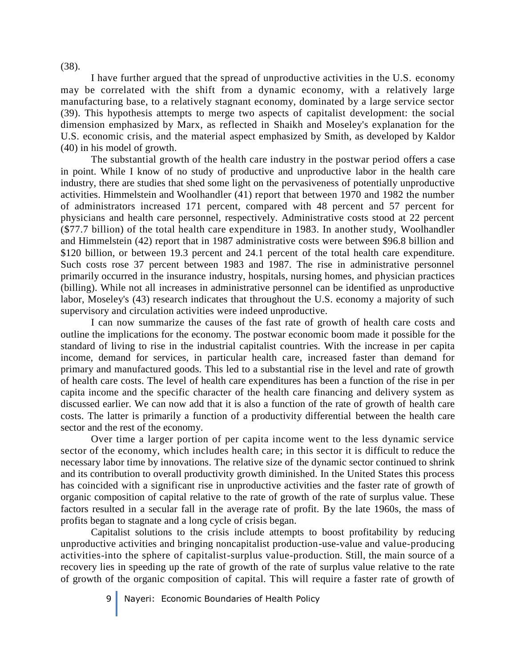I have further argued that the spread of unproductive activities in the U.S. economy may be correlated with the shift from a dynamic economy, with a relatively large manufacturing base, to a relatively stagnant economy, dominated by a large service sector (39). This hypothesis attempts to merge two aspects of capitalist development: the social dimension emphasized by Marx, as reflected in Shaikh and Moseley's explanation for the U.S. economic crisis, and the material aspect emphasized by Smith, as developed by Kaldor (40) in his model of growth.

The substantial growth of the health care industry in the postwar period offers a case in point. While I know of no study of productive and unproductive labor in the health care industry, there are studies that shed some light on the pervasiveness of potentially unproductive activities. Himmelstein and Woolhandler (41) report that between 1970 and 1982 the number of administrators increased 171 percent, compared with 48 percent and 57 percent for physicians and health care personnel, respectively. Administrative costs stood at 22 percent (\$77.7 billion) of the total health care expenditure in 1983. In another study, Woolhandler and Himmelstein (42) report that in 1987 administrative costs were between \$96.8 billion and \$120 billion, or between 19.3 percent and 24.1 percent of the total health care expenditure. Such costs rose 37 percent between 1983 and 1987. The rise in administrative personnel primarily occurred in the insurance industry, hospitals, nursing homes, and physician practices (billing). While not all increases in administrative personnel can be identified as unproductive labor, Moseley's (43) research indicates that throughout the U.S. economy a majority of such supervisory and circulation activities were indeed unproductive.

I can now summarize the causes of the fast rate of growth of health care costs and outline the implications for the economy. The postwar economic boom made it possible for the standard of living to rise in the industrial capitalist countries. With the increase in per capita income, demand for services, in particular health care, increased faster than demand for primary and manufactured goods. This led to a substantial rise in the level and rate of growth of health care costs. The level of health care expenditures has been a function of the rise in per capita income and the specific character of the health care financing and delivery system as discussed earlier. We can now add that it is also a function of the rate of growth of health care costs. The latter is primarily a function of a productivity differential between the health care sector and the rest of the economy.

Over time a larger portion of per capita income went to the less dynamic service sector of the economy, which includes health care; in this sector it is difficult to reduce the necessary labor time by innovations. The relative size of the dynamic sector continued to shrink and its contribution to overall productivity growth diminished. In the United States this process has coincided with a significant rise in unproductive activities and the faster rate of growth of organic composition of capital relative to the rate of growth of the rate of surplus value. These factors resulted in a secular fall in the average rate of profit. By the late 1960s, the mass of profits began to stagnate and a long cycle of crisis began.

Capitalist solutions to the crisis include attempts to boost profitability by reducing unproductive activities and bringing noncapitalist production-use-value and value-producing activities-into the sphere of capitalist-surplus value-production. Still, the main source of a recovery lies in speeding up the rate of growth of the rate of surplus value relative to the rate of growth of the organic composition of capital. This will require a faster rate of growth of

9 Nayeri: Economic Boundaries of Health Policy

(38).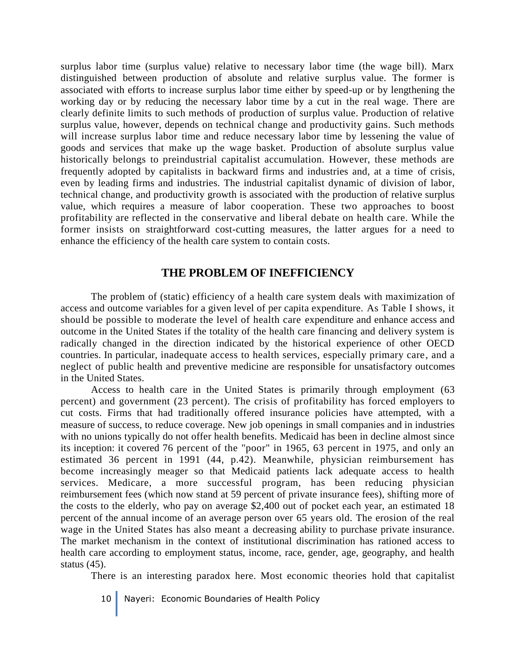surplus labor time (surplus value) relative to necessary labor time (the wage bill). Marx distinguished between production of absolute and relative surplus value. The former is associated with efforts to increase surplus labor time either by speed-up or by lengthening the working day or by reducing the necessary labor time by a cut in the real wage. There are clearly definite limits to such methods of production of surplus value. Production of relative surplus value, however, depends on technical change and productivity gains. Such methods will increase surplus labor time and reduce necessary labor time by lessening the value of goods and services that make up the wage basket. Production of absolute surplus value historically belongs to preindustrial capitalist accumulation. However, these methods are frequently adopted by capitalists in backward firms and industries and, at a time of crisis, even by leading firms and industries. The industrial capitalist dynamic of division of labor, technical change, and productivity growth is associated with the production of relative surplus value, which requires a measure of labor cooperation. These two approaches to boost profitability are reflected in the conservative and liberal debate on health care. While the former insists on straightforward cost-cutting measures, the latter argues for a need to enhance the efficiency of the health care system to contain costs.

### **THE PROBLEM OF INEFFICIENCY**

The problem of (static) efficiency of a health care system deals with maximization of access and outcome variables for a given level of per capita expenditure. As Table I shows, it should be possible to moderate the level of health care expenditure and enhance access and outcome in the United States if the totality of the health care financing and delivery system is radically changed in the direction indicated by the historical experience of other OECD countries. In particular, inadequate access to health services, especially primary care, and a neglect of public health and preventive medicine are responsible for unsatisfactory outcomes in the United States.

Access to health care in the United States is primarily through employment (63 percent) and government (23 percent). The crisis of profitability has forced employers to cut costs. Firms that had traditionally offered insurance policies have attempted, with a measure of success, to reduce coverage. New job openings in small companies and in industries with no unions typically do not offer health benefits. Medicaid has been in decline almost since its inception: it covered 76 percent of the "poor" in 1965, 63 percent in 1975, and only an estimated 36 percent in 1991 (44, p.42). Meanwhile, physician reimbursement has become increasingly meager so that Medicaid patients lack adequate access to health services. Medicare, a more successful program, has been reducing physician reimbursement fees (which now stand at 59 percent of private insurance fees), shifting more of the costs to the elderly, who pay on average \$2,400 out of pocket each year, an estimated 18 percent of the annual income of an average person over 65 years old. The erosion of the real wage in the United States has also meant a decreasing ability to purchase private insurance. The market mechanism in the context of institutional discrimination has rationed access to health care according to employment status, income, race, gender, age, geography, and health status (45).

There is an interesting paradox here. Most economic theories hold that capitalist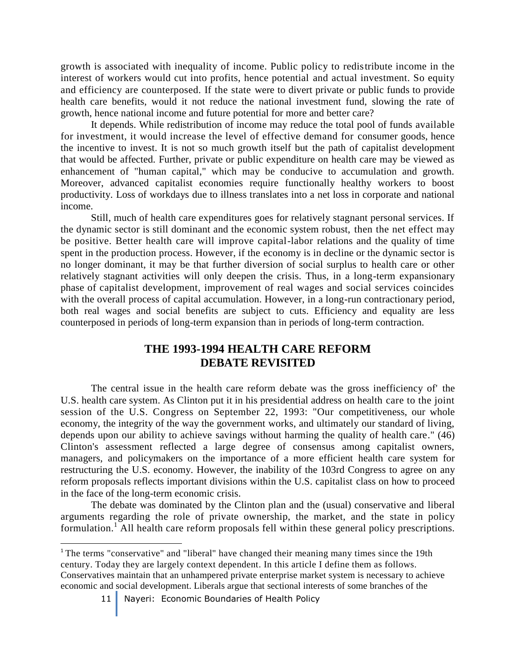growth is associated with inequality of income. Public policy to redistribute income in the interest of workers would cut into profits, hence potential and actual investment. So equity and efficiency are counterposed. If the state were to divert private or public funds to provide health care benefits, would it not reduce the national investment fund, slowing the rate of growth, hence national income and future potential for more and better care?

It depends. While redistribution of income may reduce the total pool of funds available for investment, it would increase the level of effective demand for consumer goods, hence the incentive to invest. It is not so much growth itself but the path of capitalist development that would be affected. Further, private or public expenditure on health care may be viewed as enhancement of "human capital," which may be conducive to accumulation and growth. Moreover, advanced capitalist economies require functionally healthy workers to boost productivity. Loss of workdays due to illness translates into a net loss in corporate and national income.

Still, much of health care expenditures goes for relatively stagnant personal services. If the dynamic sector is still dominant and the economic system robust, then the net effect may be positive. Better health care will improve capital-labor relations and the quality of time spent in the production process. However, if the economy is in decline or the dynamic sector is no longer dominant, it may be that further diversion of social surplus to health care or other relatively stagnant activities will only deepen the crisis. Thus, in a long-term expansionary phase of capitalist development, improvement of real wages and social services coincides with the overall process of capital accumulation. However, in a long-run contractionary period, both real wages and social benefits are subject to cuts. Efficiency and equality are less counterposed in periods of long-term expansion than in periods of long-term contraction.

## **THE 1993-1994 HEALTH CARE REFORM DEBATE REVISITED**

The central issue in the health care reform debate was the gross inefficiency of' the U.S. health care system. As Clinton put it in his presidential address on health care to the joint session of the U.S. Congress on September 22, 1993: "Our competitiveness, our whole economy, the integrity of the way the government works, and ultimately our standard of living, depends upon our ability to achieve savings without harming the quality of health care." (46) Clinton's assessment reflected a large degree of consensus among capitalist owners, managers, and policymakers on the importance of a more efficient health care system for restructuring the U.S. economy. However, the inability of the 103rd Congress to agree on any reform proposals reflects important divisions within the U.S. capitalist class on how to proceed in the face of the long-term economic crisis.

The debate was dominated by the Clinton plan and the (usual) conservative and liberal arguments regarding the role of private ownership, the market, and the state in policy formulation.<sup>1</sup> All health care reform proposals fell within these general policy prescriptions.

<sup>1</sup> The terms "conservative" and "liberal" have changed their meaning many times since the 19th century. Today they are largely context dependent. In this article I define them as follows. Conservatives maintain that an unhampered private enterprise market system is necessary to achieve economic and social development. Liberals argue that sectional interests of some branches of the

 $\overline{\phantom{a}}$ 

<sup>11</sup> Nayeri: Economic Boundaries of Health Policy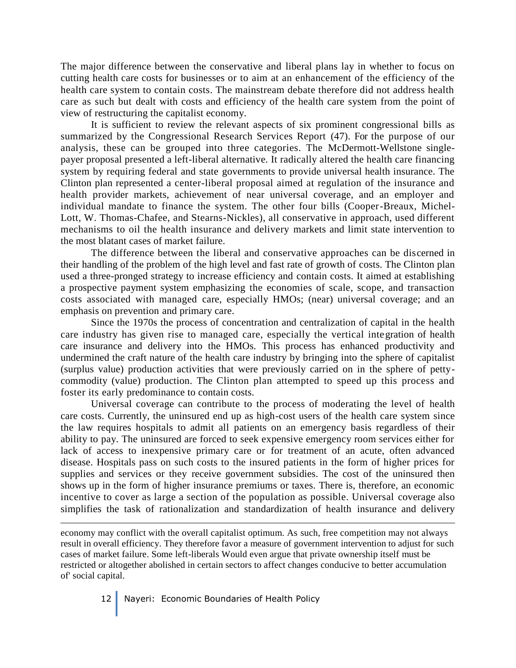The major difference between the conservative and liberal plans lay in whether to focus on cutting health care costs for businesses or to aim at an enhancement of the efficiency of the health care system to contain costs. The mainstream debate therefore did not address health care as such but dealt with costs and efficiency of the health care system from the point of view of restructuring the capitalist economy.

It is sufficient to review the relevant aspects of six prominent congressional bills as summarized by the Congressional Research Services Report (47). For the purpose of our analysis, these can be grouped into three categories. The McDermott-Wellstone singlepayer proposal presented a left-liberal alternative. It radically altered the health care financing system by requiring federal and state governments to provide universal health insurance. The Clinton plan represented a center-liberal proposal aimed at regulation of the insurance and health provider markets, achievement of near universal coverage, and an employer and individual mandate to finance the system. The other four bills (Cooper-Breaux, Michel-Lott, W. Thomas-Chafee, and Stearns-Nickles), all conservative in approach, used different mechanisms to oil the health insurance and delivery markets and limit state intervention to the most blatant cases of market failure.

The difference between the liberal and conservative approaches can be discerned in their handling of the problem of the high level and fast rate of growth of costs. The Clinton plan used a three-pronged strategy to increase efficiency and contain costs. It aimed at establishing a prospective payment system emphasizing the economies of scale, scope, and transaction costs associated with managed care, especially HMOs; (near) universal coverage; and an emphasis on prevention and primary care.

Since the 1970s the process of concentration and centralization of capital in the health care industry has given rise to managed care, especially the vertical integration of health care insurance and delivery into the HMOs. This process has enhanced productivity and undermined the craft nature of the health care industry by bringing into the sphere of capitalist (surplus value) production activities that were previously carried on in the sphere of pettycommodity (value) production. The Clinton plan attempted to speed up this process and foster its early predominance to contain costs.

Universal coverage can contribute to the process of moderating the level of health care costs. Currently, the uninsured end up as high-cost users of the health care system since the law requires hospitals to admit all patients on an emergency basis regardless of their ability to pay. The uninsured are forced to seek expensive emergency room services either for lack of access to inexpensive primary care or for treatment of an acute, often advanced disease. Hospitals pass on such costs to the insured patients in the form of higher prices for supplies and services or they receive government subsidies. The cost of the uninsured then shows up in the form of higher insurance premiums or taxes. There is, therefore, an economic incentive to cover as large a section of the population as possible. Universal coverage also simplifies the task of rationalization and standardization of health insurance and delivery

economy may conflict with the overall capitalist optimum. As such, free competition may not always result in overall efficiency. They therefore favor a measure of government intervention to adjust for such cases of market failure. Some left-liberals Would even argue that private ownership itself must be restricted or altogether abolished in certain sectors to affect changes conducive to better accumulation of' social capital.

12 Nayeri: Economic Boundaries of Health Policy

 $\overline{a}$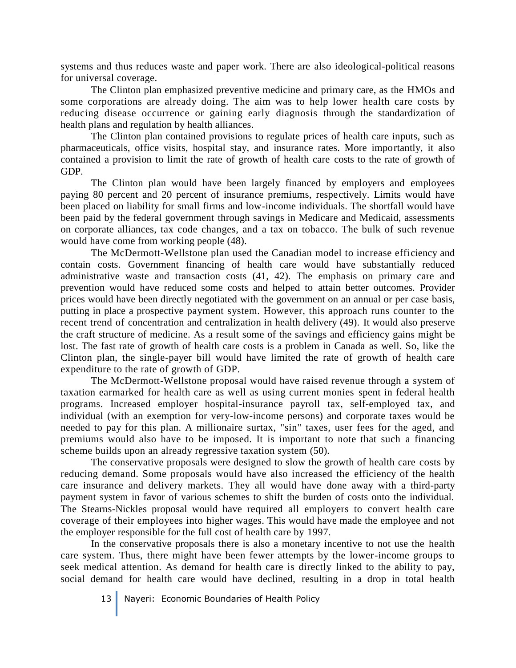systems and thus reduces waste and paper work. There are also ideological-political reasons for universal coverage.

The Clinton plan emphasized preventive medicine and primary care, as the HMOs and some corporations are already doing. The aim was to help lower health care costs by reducing disease occurrence or gaining early diagnosis through the standardization of health plans and regulation by health alliances.

The Clinton plan contained provisions to regulate prices of health care inputs, such as pharmaceuticals, office visits, hospital stay, and insurance rates. More importantly, it also contained a provision to limit the rate of growth of health care costs to the rate of growth of GDP.

The Clinton plan would have been largely financed by employers and employees paying 80 percent and 20 percent of insurance premiums, respectively. Limits would have been placed on liability for small firms and low-income individuals. The shortfall would have been paid by the federal government through savings in Medicare and Medicaid, assessments on corporate alliances, tax code changes, and a tax on tobacco. The bulk of such revenue would have come from working people (48).

The McDermott-Wellstone plan used the Canadian model to increase efficiency and contain costs. Government financing of health care would have substantially reduced administrative waste and transaction costs (41, 42). The emphasis on primary care and prevention would have reduced some costs and helped to attain better outcomes. Provider prices would have been directly negotiated with the government on an annual or per case basis, putting in place a prospective payment system. However, this approach runs counter to the recent trend of concentration and centralization in health delivery (49). It would also preserve the craft structure of medicine. As a result some of the savings and efficiency gains might be lost. The fast rate of growth of health care costs is a problem in Canada as well. So, like the Clinton plan, the single-payer bill would have limited the rate of growth of health care expenditure to the rate of growth of GDP.

The McDermott-Wellstone proposal would have raised revenue through a system of taxation earmarked for health care as well as using current monies spent in federal health programs. Increased employer hospital-insurance payroll tax, self-employed tax, and individual (with an exemption for very-low-income persons) and corporate taxes would be needed to pay for this plan. A millionaire surtax, "sin" taxes, user fees for the aged, and premiums would also have to be imposed. It is important to note that such a financing scheme builds upon an already regressive taxation system (50).

The conservative proposals were designed to slow the growth of health care costs by reducing demand. Some proposals would have also increased the efficiency of the health care insurance and delivery markets. They all would have done away with a third-party payment system in favor of various schemes to shift the burden of costs onto the individual. The Stearns-Nickles proposal would have required all employers to convert health care coverage of their employees into higher wages. This would have made the employee and not the employer responsible for the full cost of health care by 1997.

In the conservative proposals there is also a monetary incentive to not use the health care system. Thus, there might have been fewer attempts by the lower-income groups to seek medical attention. As demand for health care is directly linked to the ability to pay, social demand for health care would have declined, resulting in a drop in total health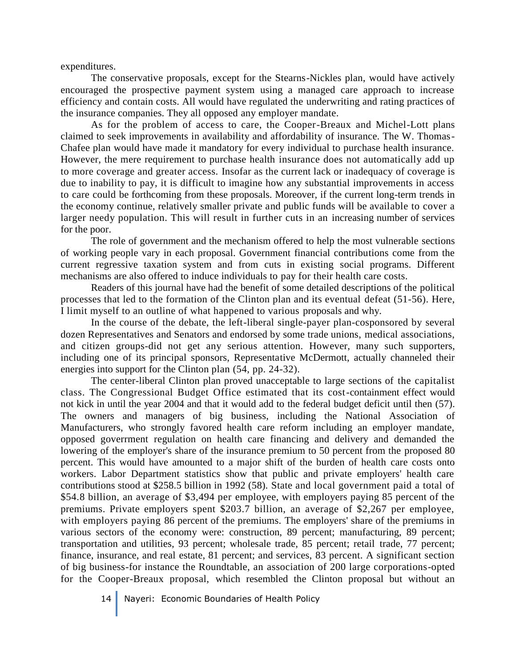expenditures.

The conservative proposals, except for the Stearns-Nickles plan, would have actively encouraged the prospective payment system using a managed care approach to increase efficiency and contain costs. All would have regulated the underwriting and rating practices of the insurance companies. They all opposed any employer mandate.

As for the problem of access to care, the Cooper-Breaux and Michel-Lott plans claimed to seek improvements in availability and affordability of insurance. The W. Thomas-Chafee plan would have made it mandatory for every individual to purchase health insurance. However, the mere requirement to purchase health insurance does not automatically add up to more coverage and greater access. Insofar as the current lack or inadequacy of coverage is due to inability to pay, it is difficult to imagine how any substantial improvements in access to care could be forthcoming from these proposals. Moreover, if the current long-term trends in the economy continue, relatively smaller private and public funds will be available to cover a larger needy population. This will result in further cuts in an increasing number of services for the poor.

The role of government and the mechanism offered to help the most vulnerable sections of working people vary in each proposal. Government financial contributions come from the current regressive taxation system and from cuts in existing social programs. Different mechanisms are also offered to induce individuals to pay for their health care costs.

Readers of this journal have had the benefit of some detailed descriptions of the political processes that led to the formation of the Clinton plan and its eventual defeat (51-56). Here, I limit myself to an outline of what happened to various proposals and why.

In the course of the debate, the left-liberal single-payer plan-cosponsored by several dozen Representatives and Senators and endorsed by some trade unions, medical associations, and citizen groups-did not get any serious attention. However, many such supporters, including one of its principal sponsors, Representative McDermott, actually channeled their energies into support for the Clinton plan (54, pp. 24-32).

The center-liberal Clinton plan proved unacceptable to large sections of the capitalist class. The Congressional Budget Office estimated that its cost-containment effect would not kick in until the year 2004 and that it would add to the federal budget deficit until then (57). The owners and managers of big business, including the National Association of Manufacturers, who strongly favored health care reform including an employer mandate, opposed goverrment regulation on health care financing and delivery and demanded the lowering of the employer's share of the insurance premium to 50 percent from the proposed 80 percent. This would have amounted to a major shift of the burden of health care costs onto workers. Labor Department statistics show that public and private employers' health care contributions stood at \$258.5 billion in 1992 (58). State and local government paid a total of \$54.8 billion, an average of \$3,494 per employee, with employers paying 85 percent of the premiums. Private employers spent \$203.7 billion, an average of \$2,267 per employee, with employers paying 86 percent of the premiums. The employers' share of the premiums in various sectors of the economy were: construction, 89 percent; manufacturing, 89 percent; transportation and utilities, 93 percent; wholesale trade, 85 percent; retail trade, 77 percent; finance, insurance, and real estate, 81 percent; and services, 83 percent. A significant section of big business-for instance the Roundtable, an association of 200 large corporations-opted for the Cooper-Breaux proposal, which resembled the Clinton proposal but without an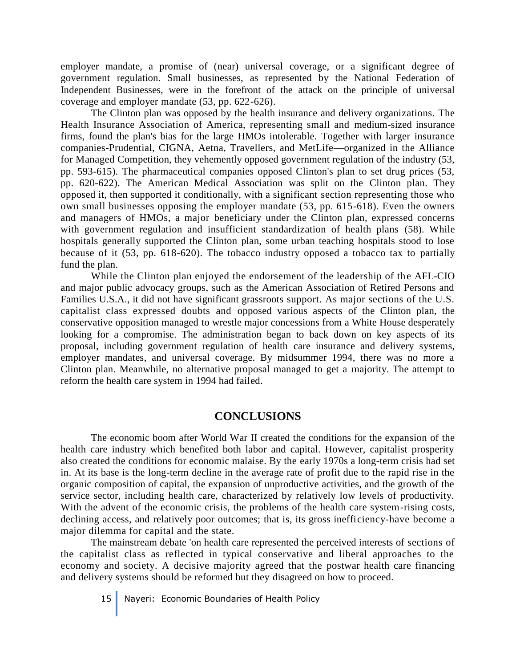employer mandate, a promise of (near) universal coverage, or a significant degree of government regulation. Small businesses, as represented by the National Federation of Independent Businesses, were in the forefront of the attack on the principle of universal coverage and employer mandate (53, pp. 622-626).

The Clinton plan was opposed by the health insurance and delivery organizations. The Health Insurance Association of America, representing small and medium-sized insurance firms, found the plan's bias for the large HMOs intolerable. Together with larger insurance companies-Prudential, CIGNA, Aetna, Travellers, and MetLife—organized in the Alliance for Managed Competition, they vehemently opposed government regulation of the industry (53, pp. 593-615). The pharmaceutical companies opposed Clinton's plan to set drug prices (53, pp. 620-622). The American Medical Association was split on the Clinton plan. They opposed it, then supported it conditionally, with a significant section representing those who own small businesses opposing the employer mandate (53, pp. 615-618). Even the owners and managers of HMOs, a major beneficiary under the Clinton plan, expressed concerns with government regulation and insufficient standardization of health plans (58). While hospitals generally supported the Clinton plan, some urban teaching hospitals stood to lose because of it (53, pp. 618-620). The tobacco industry opposed a tobacco tax to partially fund the plan.

While the Clinton plan enjoyed the endorsement of the leadership of the AFL-CIO and major public advocacy groups, such as the American Association of Retired Persons and Families U.S.A., it did not have significant grassroots support. As major sections of the U.S. capitalist class expressed doubts and opposed various aspects of the Clinton plan, the conservative opposition managed to wrestle major concessions from a White House desperately looking for a compromise. The administration began to back down on key aspects of its proposal, including government regulation of health care insurance and delivery systems, employer mandates, and universal coverage. By midsummer 1994, there was no more a Clinton plan. Meanwhile, no alternative proposal managed to get a majority. The attempt to reform the health care system in 1994 had failed.

## **CONCLUSIONS**

The economic boom after World War II created the conditions for the expansion of the health care industry which benefited both labor and capital. However, capitalist prosperity also created the conditions for economic malaise. By the early 1970s a long-term crisis had set in. At its base is the long-term decline in the average rate of profit due to the rapid rise in the organic composition of capital, the expansion of unproductive activities, and the growth of the service sector, including health care, characterized by relatively low levels of productivity. With the advent of the economic crisis, the problems of the health care system-rising costs, declining access, and relatively poor outcomes; that is, its gross inefficiency-have become a major dilemma for capital and the state.

The mainstream debate 'on health care represented the perceived interests of sections of the capitalist class as reflected in typical conservative and liberal approaches to the economy and society. A decisive majority agreed that the postwar health care financing and delivery systems should be reformed but they disagreed on how to proceed.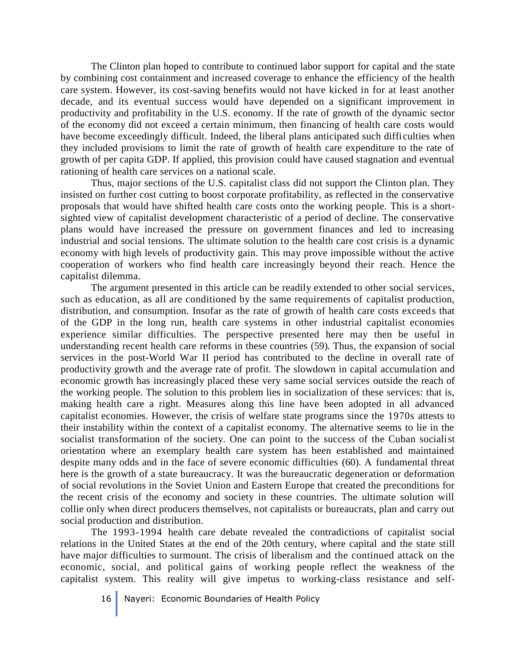The Clinton plan hoped to contribute to continued labor support for capital and the state by combining cost containment and increased coverage to enhance the efficiency of the health care system. However, its cost-saving benefits would not have kicked in for at least another decade, and its eventual success would have depended on a significant improvement in productivity and profitability in the U.S. economy. If the rate of growth of the dynamic sector of the economy did not exceed a certain minimum, then financing of health care costs would have become exceedingly difficult. Indeed, the liberal plans anticipated such difficulties when they included provisions to limit the rate of growth of health care expenditure to the rate of growth of per capita GDP. If applied, this provision could have caused stagnation and eventual rationing of health care services on a national scale.

Thus, major sections of the U.S. capitalist class did not support the Clinton plan. They insisted on further cost cutting to boost corporate profitability, as reflected in the conservative proposals that would have shifted health care costs onto the working people. This is a shortsighted view of capitalist development characteristic of a period of decline. The conservative plans would have increased the pressure on government finances and led to increasing industrial and social tensions. The ultimate solution to the health care cost crisis is a dynamic economy with high levels of productivity gain. This may prove impossible without the active cooperation of workers who find health care increasingly beyond their reach. Hence the capitalist dilemma.

The argument presented in this article can be readily extended to other social services, such as education, as all are conditioned by the same requirements of capitalist production, distribution, and consumption. Insofar as the rate of growth of health care costs exceeds that of the GDP in the long run, health care systems in other industrial capitalist economies experience similar difficulties. The perspective presented here may then be useful in understanding recent health care reforms in these countries (59). Thus, the expansion of social services in the post-World War II period has contributed to the decline in overall rate of productivity growth and the average rate of profit. The slowdown in capital accumulation and economic growth has increasingly placed these very same social services outside the reach of the working people. The solution to this problem lies in socialization of these services: that is, making health care a right. Measures along this line have been adopted in all advanced capitalist economies. However, the crisis of welfare state programs since the 1970s attests to their instability within the context of a capitalist economy. The alternative seems to lie in the socialist transformation of the society. One can point to the success of the Cuban socialist orientation where an exemplary health care system has been established and maintained despite many odds and in the face of severe economic difficulties (60). A fundamental threat here is the growth of a state bureaucracy. It was the bureaucratic degeneration or deformation of social revolutions in the Soviet Union and Eastern Europe that created the preconditions for the recent crisis of the economy and society in these countries. The ultimate solution will collie only when direct producers themselves, not capitalists or bureaucrats, plan and carry out social production and distribution.

The 1993-1994 health care debate revealed the contradictions of capitalist social relations in the United States at the end of the 20th century, where capital and the state still have major difficulties to surmount. The crisis of liberalism and the continued attack on the economic, social, and political gains of working people reflect the weakness of the capitalist system. This reality will give impetus to working-class resistance and self-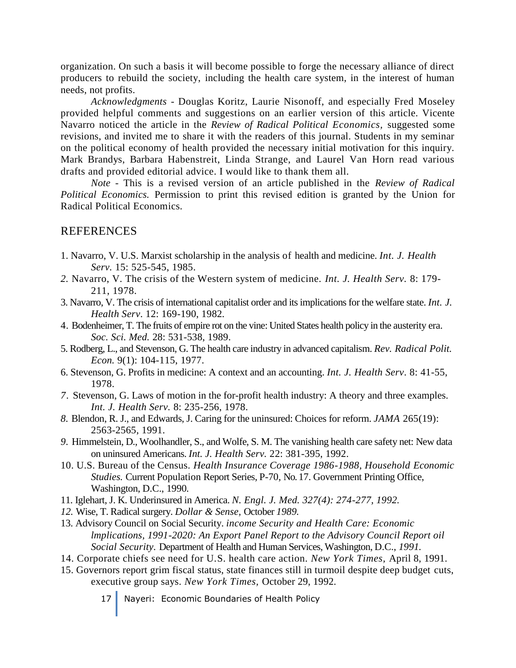organization. On such a basis it will become possible to forge the necessary alliance of direct producers to rebuild the society, including the health care system, in the interest of human needs, not profits.

*Acknowledgments -* Douglas Koritz, Laurie Nisonoff, and especially Fred Moseley provided helpful comments and suggestions on an earlier version of this article. Vicente Navarro noticed the article in the *Review of Radical Political Economics,* suggested some revisions, and invited me to share it with the readers of this journal. Students in my seminar on the political economy of health provided the necessary initial motivation for this inquiry. Mark Brandys, Barbara Habenstreit, Linda Strange, and Laurel Van Horn read various drafts and provided editorial advice. I would like to thank them all.

*Note -* This is a revised version of an article published in the *Review of Radical Political Economics.* Permission to print this revised edition is granted by the Union for Radical Political Economics.

### REFERENCES

- 1. Navarro, V. U.S. Marxist scholarship in the analysis of health and medicine. *Int. J. Health Serv.* 15: 525-545, 1985.
- *2.* Navarro, V. The crisis of the Western system of medicine. *Int. J. Health Serv.* 8: 179- 211, 1978.
- 3. Navarro, V. The crisis of international capitalist order and its implications for the welfare state. *Int. J. Health Serv*. 12: 169-190, 1982*.*
- 4. Bodenheimer, T. The fruits of empire rot on the vine: United States health policy in the austerity era. *Soc. Sci. Med.* 28: 531-538, 1989.
- 5. Rodberg, L., and Stevenson, G. The health care industry in advanced capitalism. *Rev. Radical Polit. Econ.* 9(1): 104-115, 1977.
- 6. Stevenson, G. Profits in medicine: A context and an accounting. *Int. J. Health Serv.* 8: 41-55, 1978.
- *7.* Stevenson, G. Laws of motion in the for-profit health industry: A theory and three examples. *Int. J. Health Serv.* 8: 235-256, 1978.
- *8.* Blendon, R. J., and Edwards, J. Caring for the uninsured: Choices for reform. *JAMA* 265(19): 2563-2565, 1991.
- *9.* Himmelstein, D., Woolhandler, S., and Wolfe, S. M. The vanishing health care safety net: New data on uninsured Americans. *Int. J. Health Serv.* 22: 381-395, 1992.
- 10. U.S. Bureau of the Census. *Health Insurance Coverage 1986-1988, Household Economic Studies.* Current Population Report Series, P-70*,* No. 17. Government Printing Office, Washington, D.C., 1990*.*
- 11. Iglehart, J. K. Underinsured in America. *N. Engl. J. Med. 327(4): 274-277, 1992.*
- *12.* Wise, T. Radical surgery. *Dollar & Sense,* October *1989.*
- 13. Advisory Council on Social Security. *income Security and Health Care: Economic lmplications, 1991-2020: An Export Panel Report to the Advisory Council Report oil Social Security.* Department of Health and Human Services, Washington, D.C., *1991.*
- 14. Corporate chiefs see need for U.S. health care action. *New York Times,* April 8, 1991.
- 15. Governors report grim fiscal status, state finances still in turmoil despite deep budget cuts, executive group says. *New York Times,* October 29, 1992.
	- 17 Nayeri: Economic Boundaries of Health Policy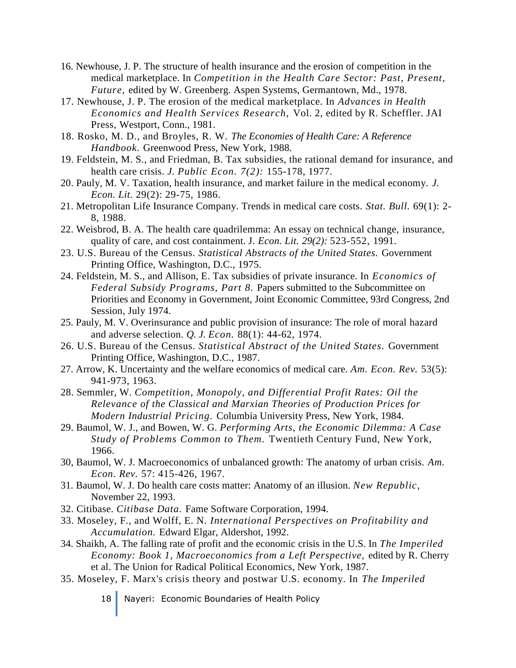- 16. Newhouse, J. P. The structure of health insurance and the erosion of competition in the medical marketplace. In *Competition in the Health Care Sector: Past, Present, Future,* edited by W. Greenberg. Aspen Systems, Germantown, Md., 1978.
- 17. Newhouse, J. P. The erosion of the medical marketplace. In *Advances in Health Economics and Health Services Research,* Vol. 2, edited by R. Scheffler. JAI Press, Westport, Conn., 1981.
- 18. Rosko, M. D., and Broyles, R. W. *The Economies of Health Care: A Reference Handbook.* Greenwood Press, New York, 1988.
- 19. Feldstein, M. S., and Friedman, B. Tax subsidies, the rational demand for insurance, and health care crisis. *J. Public Econ. 7(2):* 155-178, 1977.
- 20. Pauly, M. V. Taxation, health insurance, and market failure in the medical economy. *J. Econ. Lit.* 29(2): 29-75, 1986.
- 21. Metropolitan Life Insurance Company. Trends in medical care costs. *Stat. Bull.* 69(1): 2- 8, 1988.
- 22. Weisbrod, B. A. The health care quadrilemma: An essay on technical change, insurance, quality of care, and cost containment. J. *Econ. Lit. 29(2):* 523-552, 1991.
- 23. U.S. Bureau of the Census. *Statistical Abstracts of the United States.* Government Printing Office, Washington, D.C., 1975.
- 24. Feldstein, M. S., and Allison, E. Tax subsidies of private insurance. In *Economics of Federal Subsidy Programs, Part 8.* Papers submitted to the Subcommittee on Priorities and Economy in Government, Joint Economic Committee, 93rd Congress, 2nd Session, July 1974.
- 25. Pauly, M. V. Overinsurance and public provision of insurance: The role of moral hazard and adverse selection. *Q. J. Econ.* 88(1): 44-62, 1974.
- 26. U.S. Bureau of the Census. *Statistical Abstract of the United States.* Government Printing Office, Washington, D.C., 1987.
- 27. Arrow, K. Uncertainty and the welfare economics of medical care. *Am. Econ. Rev.* 53(5): 941-973, 1963.
- 28. Semmler, W. *Competition, Monopoly, and Differential Profit Rates: Oil the Relevance of the Classical and Marxian Theories of Production Prices for Modern Industrial Pricing.* Columbia University Press, New York, 1984.
- 29. Baumol, W. J., and Bowen, W. G. *Performing Arts, the Economic Dilemma: A Case Study of Problems Common to Them.* Twentieth Century Fund, New York, 1966.
- 30, Baumol, W. J. Macroeconomics of unbalanced growth: The anatomy of urban crisis. *Am. Econ. Rev.* 57: 415-426, 1967.
- 31. Baumol, W. J. Do health care costs matter: Anatomy of an illusion. *New Republic,*  November 22, 1993.
- 32. Citibase. *Citibase Data.* Fame Software Corporation, 1994.
- 33. Moseley, F., and Wolff, E. N. *International Perspectives on Profitability and Accumulation.* Edward Elgar, Aldershot, 1992.
- 34. Shaikh, A. The falling rate of profit and the economic crisis in the U.S. In *The Imperiled Economy: Book 1, Macroeconomics from a Left Perspective,* edited by R. Cherry et al. The Union for Radical Political Economics, New York, 1987.
- 35. Moseley, F. Marx's crisis theory and postwar U.S. economy. In *The Imperiled*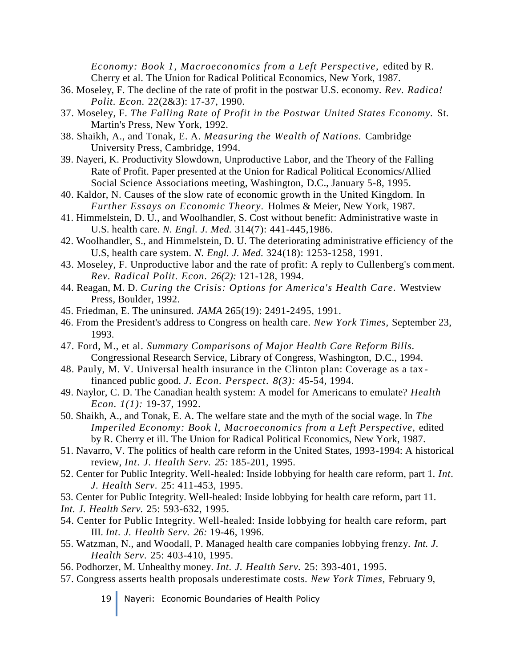*Economy: Book 1, Macroeconomics from a Left Perspective,* edited by R. Cherry et al. The Union for Radical Political Economics, New York, 1987.

- 36. Moseley, F. The decline of the rate of profit in the postwar U.S. economy. *Rev. Radica! Polit. Econ.* 22(2&3): 17-37, 1990.
- 37. Moseley, F. *The Falling Rate of Profit in the Postwar United States Economy.* St. Martin's Press, New York, 1992.
- 38. Shaikh, A., and Tonak, E. A. *Measuring the Wealth of Nations.* Cambridge University Press, Cambridge, 1994.
- 39. Nayeri, K. Productivity Slowdown, Unproductive Labor, and the Theory of the Falling Rate of Profit. Paper presented at the Union for Radical Political Economics/Allied Social Science Associations meeting, Washington, D.C., January 5-8, 1995.
- 40. Kaldor, N. Causes of the slow rate of economic growth in the United Kingdom. In *Further Essays on Economic Theory.* Holmes & Meier, New York, 1987.
- 41. Himmelstein, D. U., and Woolhandler, S. Cost without benefit: Administrative waste in U.S. health care. *N. Engl. J. Med.* 314(7): 441-445,1986.
- 42. Woolhandler, S., and Himmelstein, D. U. The deteriorating administrative efficiency of the U.S, health care system. *N. Engl. J. Med.* 324(18): 1253-1258, 1991.
- 43. Moseley, F. Unproductive labor and the rate of profit: A reply to Cullenberg's comment. *Rev. Radical Polit. Econ. 26(2):* 121-128, 1994.
- 44. Reagan, M. D. *Curing the Crisis: Options for America's Health Care.* Westview Press, Boulder, 1992.
- 45. Friedman, E. The uninsured. *JAMA* 265(19): 2491-2495, 1991.
- 46. From the President's address to Congress on health care. *New York Times,* September 23, 1993.
- 47. Ford, M., et al. *Summary Comparisons of Major Health Care Reform Bills.*  Congressional Research Service, Library of Congress, Washington, D.C., 1994.
- 48. Pauly, M. V. Universal health insurance in the Clinton plan: Coverage as a tax financed public good. *J. Econ. Perspect. 8(3):* 45-54, 1994.
- 49. Naylor, C. D. The Canadian health system: A model for Americans to emulate? *Health Econ. 1(1):* 19-37, 1992.
- 50. Shaikh, A., and Tonak, E. A. The welfare state and the myth of the social wage. In *The Imperiled Economy: Book l, Macroeconomics from a Left Perspective,* edited by R. Cherry et ill. The Union for Radical Political Economics, New York, 1987.
- 51. Navarro, V. The politics of health care reform in the United States, 1993-1994: A historical review, *Int. J. Health Serv. 25:* 185-201, 1995.
- 52. Center for Public Integrity. Well-healed: Inside lobbying for health care reform, part 1. *Int. J. Health Serv.* 25: 411-453, 1995.
- 53. Center for Public Integrity. Well-healed: Inside lobbying for health care reform, part 11.
- *Int. J. Health Serv.* 25: 593-632, 1995.
- 54. Center for Public Integrity. Well-healed: Inside lobbying for health care reform, part III. *Int. J. Health Serv. 26:* 19-46, 1996.
- 55. Watzman, N., and Woodall, P. Managed health care companies lobbying frenzy. *Int. J. Health Serv.* 25: 403-410, 1995.
- 56. Podhorzer, M. Unhealthy money. *Int. J. Health Serv.* 25: 393-401, 1995.
- 57. Congress asserts health proposals underestimate costs. *New York Times,* February 9,